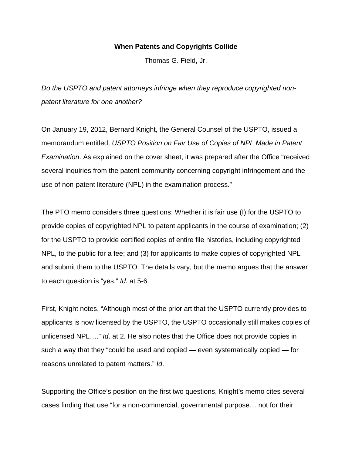## **When Patents and Copyrights Collide**

Thomas G. Field, Jr.

*Do the USPTO and patent attorneys infringe when they reproduce copyrighted nonpatent literature for one another?*

On January 19, 2012, Bernard Knight, the General Counsel of the USPTO, issued a memorandum entitled, *USPTO Position on Fair Use of Copies of NPL Made in Patent Examination*. As explained on the cover sheet, it was prepared after the Office "received several inquiries from the patent community concerning copyright infringement and the use of non-patent literature (NPL) in the examination process."

The PTO memo considers three questions: Whether it is fair use (I) for the USPTO to provide copies of copyrighted NPL to patent applicants in the course of examination; (2) for the USPTO to provide certified copies of entire file histories, including copyrighted NPL, to the public for a fee; and (3) for applicants to make copies of copyrighted NPL and submit them to the USPTO. The details vary, but the memo argues that the answer to each question is "yes." *Id*. at 5-6.

First, Knight notes, "Although most of the prior art that the USPTO currently provides to applicants is now licensed by the USPTO, the USPTO occasionally still makes copies of unlicensed NPL…." *Id*. at 2. He also notes that the Office does not provide copies in such a way that they "could be used and copied — even systematically copied — for reasons unrelated to patent matters." *Id*.

Supporting the Office's position on the first two questions, Knight's memo cites several cases finding that use "for a non-commercial, governmental purpose… not for their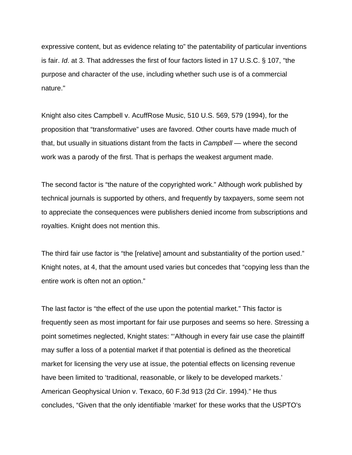expressive content, but as evidence relating to" the patentability of particular inventions is fair. *Id*. at 3. That addresses the first of four factors listed in 17 U.S.C. § 107, "the purpose and character of the use, including whether such use is of a commercial nature."

Knight also cites Campbell v. AcuffRose Music, 510 U.S. 569, 579 (1994), for the proposition that "transformative" uses are favored. Other courts have made much of that, but usually in situations distant from the facts in *Campbell* — where the second work was a parody of the first. That is perhaps the weakest argument made.

The second factor is "the nature of the copyrighted work." Although work published by technical journals is supported by others, and frequently by taxpayers, some seem not to appreciate the consequences were publishers denied income from subscriptions and royalties. Knight does not mention this.

The third fair use factor is "the [relative] amount and substantiality of the portion used." Knight notes, at 4, that the amount used varies but concedes that "copying less than the entire work is often not an option."

The last factor is "the effect of the use upon the potential market." This factor is frequently seen as most important for fair use purposes and seems so here. Stressing a point sometimes neglected, Knight states: "'Although in every fair use case the plaintiff may suffer a loss of a potential market if that potential is defined as the theoretical market for licensing the very use at issue, the potential effects on licensing revenue have been limited to 'traditional, reasonable, or likely to be developed markets.' American Geophysical Union v. Texaco, 60 F.3d 913 (2d Cir. 1994)." He thus concludes, "Given that the only identifiable 'market' for these works that the USPTO's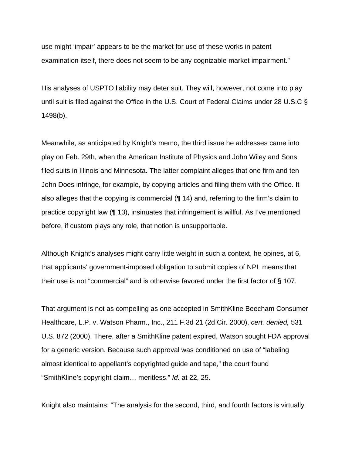use might 'impair' appears to be the market for use of these works in patent examination itself, there does not seem to be any cognizable market impairment."

His analyses of USPTO liability may deter suit. They will, however, not come into play until suit is filed against the Office in the U.S. Court of Federal Claims under 28 U.S.C § 1498(b).

Meanwhile, as anticipated by Knight's memo, the third issue he addresses came into play on Feb. 29th, when the American Institute of Physics and John Wiley and Sons filed suits in Illinois and Minnesota. The latter complaint alleges that one firm and ten John Does infringe, for example, by copying articles and filing them with the Office. It also alleges that the copying is commercial (¶ 14) and, referring to the firm's claim to practice copyright law (¶ 13), insinuates that infringement is willful. As I've mentioned before, if custom plays any role, that notion is unsupportable.

Although Knight's analyses might carry little weight in such a context, he opines, at 6, that applicants' government-imposed obligation to submit copies of NPL means that their use is not "commercial" and is otherwise favored under the first factor of § 107.

That argument is not as compelling as one accepted in SmithKline Beecham Consumer Healthcare, L.P. v. Watson Pharm., Inc., 211 F.3d 21 (2d Cir. 2000), *cert. denied,* 531 U.S. 872 (2000). There, after a SmithKline patent expired, Watson sought FDA approval for a generic version. Because such approval was conditioned on use of "labeling almost identical to appellant's copyrighted guide and tape," the court found "SmithKline's copyright claim… meritless." *Id.* at 22, 25.

Knight also maintains: "The analysis for the second, third, and fourth factors is virtually